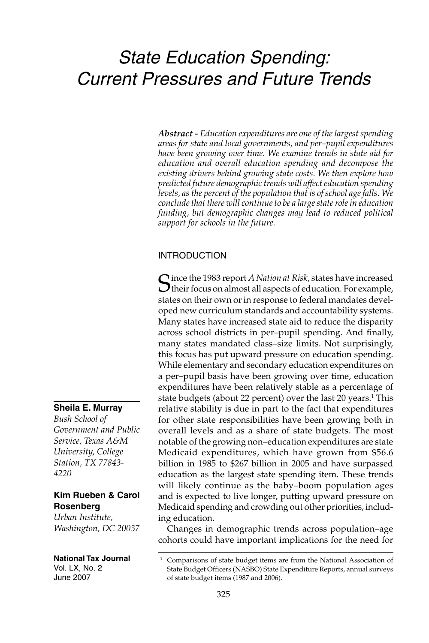# *State Education Spending: Current Pressures and Future Trends*

*Abstract - Education expenditures are one of the largest spending areas for state and local governments, and per–pupil expenditures have been growing over time. We examine trends in state aid for education and overall education spending and decompose the existing drivers behind growing state costs. We then explore how predicted future demographic trends will affect education spending levels, as the percent of the population that is of school age falls. We conclude that there will continue to be a large state role in education funding, but demographic changes may lead to reduced political support for schools in the future.*

## INTRODUCTION

Since the 1983 report *A Nation at Risk*, states have increased their focus on almost all aspects of education. For example, states on their own or in response to federal mandates developed new curriculum standards and accountability systems. Many states have increased state aid to reduce the disparity across school districts in per-pupil spending. And finally, many states mandated class–size limits. Not surprisingly, this focus has put upward pressure on education spending. While elementary and secondary education expenditures on a per–pupil basis have been growing over time, education expenditures have been relatively stable as a percentage of state budgets (about 22 percent) over the last 20 years.<sup>1</sup> This relative stability is due in part to the fact that expenditures for other state responsibilities have been growing both in overall levels and as a share of state budgets. The most notable of the growing non–education expenditures are state Medicaid expenditures, which have grown from \$56.6 billion in 1985 to \$267 billion in 2005 and have surpassed education as the largest state spending item. These trends will likely continue as the baby–boom population ages and is expected to live longer, putting upward pressure on Medicaid spending and crowding out other priorities, including education.

Changes in demographic trends across population–age cohorts could have important implications for the need for

# **Sheila E. Murray**

*Bush School of Government and Public Service, Texas A&M University, College Station, TX 77843- 4220*

#### **Kim Rueben & Carol Rosenberg**

*Urban Institute, Washington, DC 20037*

**National Tax Journal** Vol. LX, No. 2 June 2007

Comparisons of state budget items are from the National Association of State Budget Officers (NASBO) State Expenditure Reports, annual surveys of state budget items (1987 and 2006).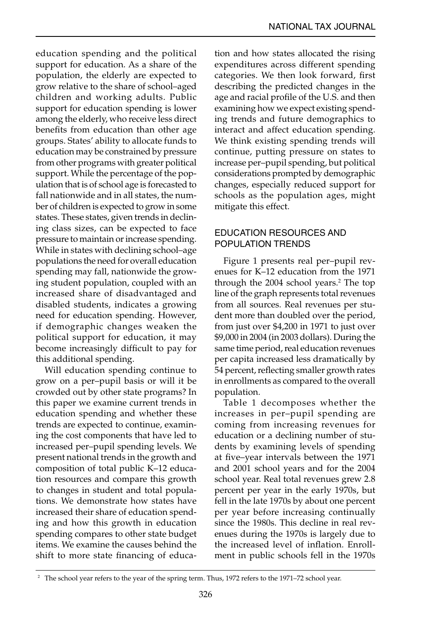education spending and the political support for education. As a share of the population, the elderly are expected to grow relative to the share of school–aged children and working adults. Public support for education spending is lower among the elderly, who receive less direct benefits from education than other age groups. States' ability to allocate funds to education may be constrained by pressure from other programs with greater political support. While the percentage of the population that is of school age is forecasted to fall nationwide and in all states, the number of children is expected to grow in some states. These states, given trends in declining class sizes, can be expected to face pressure to maintain or increase spending. While in states with declining school–age populations the need for overall education spending may fall, nationwide the growing student population, coupled with an increased share of disadvantaged and disabled students, indicates a growing need for education spending. However, if demographic changes weaken the political support for education, it may become increasingly difficult to pay for this additional spending.

Will education spending continue to grow on a per–pupil basis or will it be crowded out by other state programs? In this paper we examine current trends in education spending and whether these trends are expected to continue, examining the cost components that have led to increased per–pupil spending levels. We present national trends in the growth and composition of total public K–12 education resources and compare this growth to changes in student and total populations. We demonstrate how states have increased their share of education spending and how this growth in education spending compares to other state budget items. We examine the causes behind the shift to more state financing of education and how states allocated the rising expenditures across different spending categories. We then look forward, first describing the predicted changes in the age and racial profile of the U.S. and then examining how we expect existing spending trends and future demographics to interact and affect education spending. We think existing spending trends will continue, putting pressure on states to increase per–pupil spending, but political considerations prompted by demographic changes, especially reduced support for schools as the population ages, might mitigate this effect.

## EDUCATION RESOURCES AND POPULATION TRENDS

Figure 1 presents real per–pupil revenues for K–12 education from the 1971 through the 2004 school years.<sup>2</sup> The top line of the graph represents total revenues from all sources. Real revenues per student more than doubled over the period, from just over \$4,200 in 1971 to just over \$9,000 in 2004 (in 2003 dollars). During the same time period, real education revenues per capita increased less dramatically by 54 percent, reflecting smaller growth rates in enrollments as compared to the overall population.

Table 1 decomposes whether the increases in per–pupil spending are coming from increasing revenues for education or a declining number of students by examining levels of spending at five–year intervals between the 1971 and 2001 school years and for the 2004 school year. Real total revenues grew 2.8 percent per year in the early 1970s, but fell in the late 1970s by about one percent per year before increasing continually since the 1980s. This decline in real revenues during the 1970s is largely due to the increased level of inflation. Enrollment in public schools fell in the 1970s

 <sup>2</sup> The school year refers to the year of the spring term. Thus, 1972 refers to the 1971–72 school year.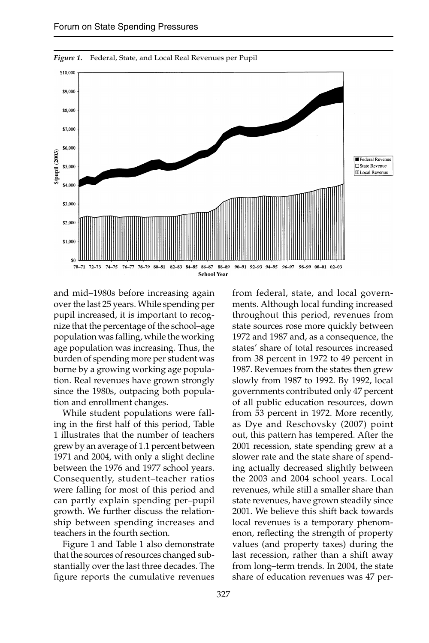

*Figure 1.* Federal, State, and Local Real Revenues per Pupil

and mid–1980s before increasing again over the last 25 years. While spending per pupil increased, it is important to recognize that the percentage of the school–age population was falling, while the working age population was increasing. Thus, the burden of spending more per student was borne by a growing working age population. Real revenues have grown strongly since the 1980s, outpacing both population and enrollment changes.

While student populations were falling in the first half of this period, Table 1 illustrates that the number of teachers grew by an average of 1.1 percent between 1971 and 2004, with only a slight decline between the 1976 and 1977 school years. Consequently, student–teacher ratios were falling for most of this period and can partly explain spending per–pupil growth. We further discuss the relationship between spending increases and teachers in the fourth section.

Figure 1 and Table 1 also demonstrate that the sources of resources changed substantially over the last three decades. The figure reports the cumulative revenues from federal, state, and local governments. Although local funding increased throughout this period, revenues from state sources rose more quickly between 1972 and 1987 and, as a consequence, the states' share of total resources increased from 38 percent in 1972 to 49 percent in 1987. Revenues from the states then grew slowly from 1987 to 1992. By 1992, local governments contributed only 47 percent of all public education resources, down from 53 percent in 1972. More recently, as Dye and Reschovsky (2007) point out, this pattern has tempered. After the 2001 recession, state spending grew at a slower rate and the state share of spending actually decreased slightly between the 2003 and 2004 school years. Local revenues, while still a smaller share than state revenues, have grown steadily since 2001. We believe this shift back towards local revenues is a temporary phenomenon, reflecting the strength of property values (and property taxes) during the last recession, rather than a shift away from long–term trends. In 2004, the state share of education revenues was 47 per-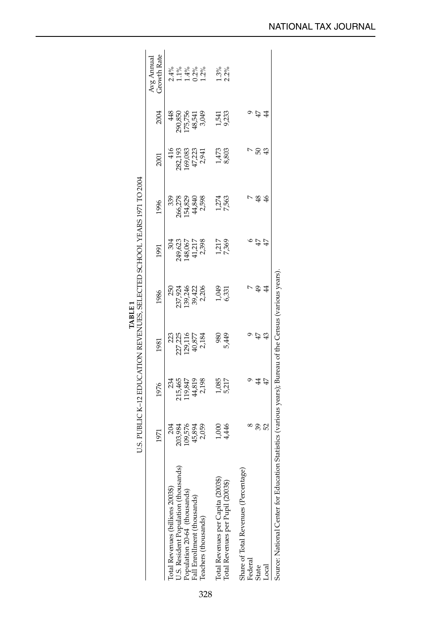|                                                                          |                                                                            |                 |                | U.S. PUBLIC K-12 EDUCATION REVENUES, SELECTED SCHOOL YEARS 1971 TO 2004<br>TABLE <sub>1</sub> |                |                                       |                 |                                       |                                  |
|--------------------------------------------------------------------------|----------------------------------------------------------------------------|-----------------|----------------|-----------------------------------------------------------------------------------------------|----------------|---------------------------------------|-----------------|---------------------------------------|----------------------------------|
|                                                                          | 1971                                                                       | 1976            | 1981           | 1986                                                                                          | 1991           | 1996                                  | 2001            | 2004                                  | <b>Growth Rate</b><br>Avg Annual |
| U.S. Resident Population (thousands)<br>Total Revenues (billions 2003\$) | 204<br>203,984                                                             | 234<br>215,465  | 223<br>227,225 | 250<br>237,924                                                                                | 304<br>249,623 | 339                                   | 416<br>282,193  | 48                                    | $2.4%$<br>$-1.4%$                |
| Population 20-64 (thousands)                                             | 109,576                                                                    | 19,847          | 129,116        | 139,246                                                                                       | 148,067        | 266,278<br>154,829<br>44,840<br>2,598 | 169,083         | 290,850<br>175,756<br>48,541<br>3,049 |                                  |
| Fall Enrollment (thousands)                                              | 45,894<br>2,059                                                            | 44,819<br>2,198 | 40,877         | 39,422                                                                                        | 41,217         |                                       |                 |                                       | $0.2\%$                          |
| Teachers (thousands)                                                     |                                                                            |                 | 2,184          | 2,206                                                                                         |                |                                       | 47,223<br>2,941 |                                       | $1.2\%$                          |
|                                                                          |                                                                            |                 | 980            | 670'                                                                                          |                |                                       |                 |                                       |                                  |
| Total Revenues per Capita (2003\$)<br>Total Revenues per Pupil (2003\$)  | 1,416<br>1,416                                                             | 1,085<br>5,217  | ,449           | 5,331                                                                                         | 1,217<br>7,369 | 1,274<br>7,563                        | 1,473<br>8,803  | 1,541<br>9,233                        | $\frac{1.3\%}{2.2\%}$            |
| Share of Total Revenues (Percentage)                                     |                                                                            |                 |                |                                                                                               |                |                                       |                 |                                       |                                  |
| Federal                                                                  |                                                                            |                 |                |                                                                                               |                |                                       |                 |                                       |                                  |
| <b>State</b>                                                             | 39                                                                         | 4               | $\overline{4}$ | $\frac{49}{5}$                                                                                | 47             | \$                                    | 50              | 47                                    |                                  |
| Local                                                                    | 52                                                                         | 47              | $\frac{3}{2}$  | $\frac{4}{4}$                                                                                 | 47             | $\frac{4}{5}$                         | ₽               | $\ddot{a}$                            |                                  |
| Source: National Center for                                              | Education Statistics (various years); Bureau of the Census (various years) |                 |                |                                                                                               |                |                                       |                 |                                       |                                  |

328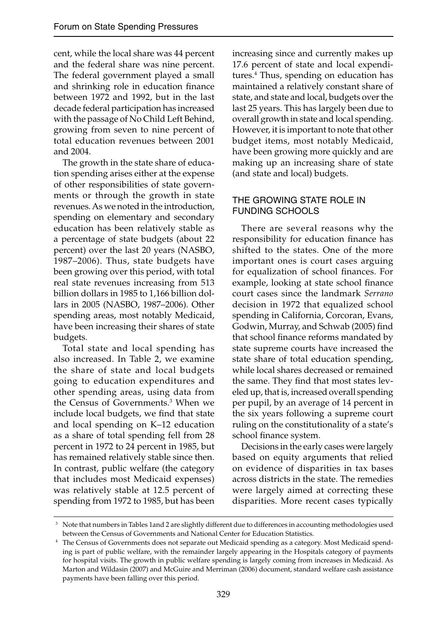cent, while the local share was 44 percent and the federal share was nine percent. The federal government played a small and shrinking role in education finance between 1972 and 1992, but in the last decade federal participation has increased with the passage of No Child Left Behind, growing from seven to nine percent of total education revenues between 2001 and 2004.

The growth in the state share of education spending arises either at the expense of other responsibilities of state governments or through the growth in state revenues. As we noted in the introduction, spending on elementary and secondary education has been relatively stable as a percentage of state budgets (about 22 percent) over the last 20 years (NASBO, 1987–2006). Thus, state budgets have been growing over this period, with total real state revenues increasing from 513 billion dollars in 1985 to 1,166 billion dollars in 2005 (NASBO, 1987–2006). Other spending areas, most notably Medicaid, have been increasing their shares of state budgets.

Total state and local spending has also increased. In Table 2, we examine the share of state and local budgets going to education expenditures and other spending areas, using data from the Census of Governments.3 When we include local budgets, we find that state and local spending on K–12 education as a share of total spending fell from 28 percent in 1972 to 24 percent in 1985, but has remained relatively stable since then. In contrast, public welfare (the category that includes most Medicaid expenses) was relatively stable at 12.5 percent of spending from 1972 to 1985, but has been

increasing since and currently makes up 17.6 percent of state and local expenditures.4 Thus, spending on education has maintained a relatively constant share of state, and state and local, budgets over the last 25 years. This has largely been due to overall growth in state and local spending. However, it is important to note that other budget items, most notably Medicaid, have been growing more quickly and are making up an increasing share of state (and state and local) budgets.

## THE GROWING STATE ROLE IN FUNDING SCHOOLS

There are several reasons why the responsibility for education finance has shifted to the states. One of the more important ones is court cases arguing for equalization of school finances. For example, looking at state school finance court cases since the landmark *Serrano*  decision in 1972 that equalized school spending in California, Corcoran, Evans, Godwin, Murray, and Schwab (2005) find that school finance reforms mandated by state supreme courts have increased the state share of total education spending, while local shares decreased or remained the same. They find that most states leveled up, that is, increased overall spending per pupil, by an average of 14 percent in the six years following a supreme court ruling on the constitutionality of a state's school finance system.

Decisions in the early cases were largely based on equity arguments that relied on evidence of disparities in tax bases across districts in the state. The remedies were largely aimed at correcting these disparities. More recent cases typically

 <sup>3</sup> Note that numbers in Tables 1and 2 are slightly different due to differences in accounting methodologies used between the Census of Governments and National Center for Education Statistics. 4 The Census of Governments does not separate out Medicaid spending as a category. Most Medicaid spend-

ing is part of public welfare, with the remainder largely appearing in the Hospitals category of payments for hospital visits. The growth in public welfare spending is largely coming from increases in Medicaid. As Marton and Wildasin (2007) and McGuire and Merriman (2006) document, standard welfare cash assistance payments have been falling over this period.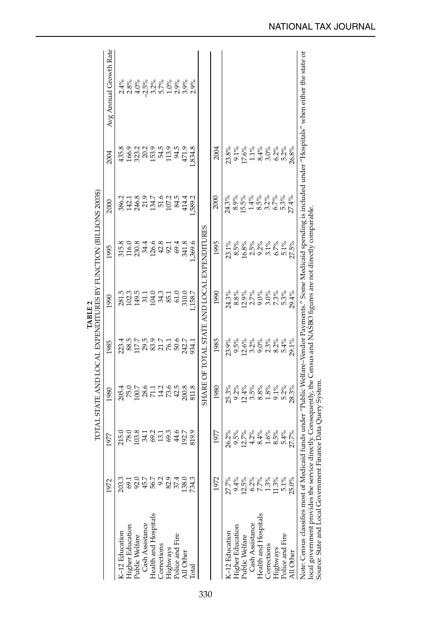|                                         |                                 |                                    |                                                                   |                                                      | TOTAL STATE AND LOCAL EXPENDITURES BY FUNCTION (BILLIONS 2003\$)<br>TABLE 2                   |                                     |                                   |                                   |                                                                                                                                                                      |
|-----------------------------------------|---------------------------------|------------------------------------|-------------------------------------------------------------------|------------------------------------------------------|-----------------------------------------------------------------------------------------------|-------------------------------------|-----------------------------------|-----------------------------------|----------------------------------------------------------------------------------------------------------------------------------------------------------------------|
|                                         | 1972                            | 1977                               | 1980                                                              | 1985                                                 | 1990                                                                                          | 1995                                | 2000                              | 2004                              | Avg Annual Growth Rate                                                                                                                                               |
| K-12 Education                          | 203.3                           |                                    |                                                                   |                                                      |                                                                                               |                                     |                                   | 435.8                             |                                                                                                                                                                      |
| <b>Higher Education</b>                 |                                 |                                    |                                                                   |                                                      |                                                                                               |                                     |                                   |                                   |                                                                                                                                                                      |
| Public Welfare<br>Cash Assistance       | <b>3</b><br>ទី១ ភូមិ<br>ទី ភូមិ | 215.0<br>78.03<br>103.4.1          |                                                                   |                                                      |                                                                                               | 35.3<br>2003 31.4<br>3003 31.4 31.5 |                                   |                                   |                                                                                                                                                                      |
|                                         |                                 |                                    |                                                                   |                                                      |                                                                                               |                                     |                                   |                                   |                                                                                                                                                                      |
| Health and Hospitals                    |                                 |                                    |                                                                   |                                                      |                                                                                               |                                     |                                   |                                   |                                                                                                                                                                      |
| Corrections                             | 9.2                             | $0.13$<br>$0.13$                   |                                                                   |                                                      |                                                                                               |                                     |                                   |                                   |                                                                                                                                                                      |
| Highways<br>Police and Fire             | 82.9<br>37.4                    |                                    |                                                                   | 2345<br>285759.27<br>2852827                         | 5<br>802 5 5 5 6 7<br>8 5 7 5 7 8 9 7                                                         |                                     | 386.2<br>1458<br>1450.215<br>1972 | ទី<br>វីង ១ ១ ១ ១ ១<br>ភីមិ ២ ១ ១ |                                                                                                                                                                      |
|                                         |                                 | 44.6                               |                                                                   |                                                      | 61.0                                                                                          | 69.4                                |                                   | 94.5                              |                                                                                                                                                                      |
| All Other                               | 138.0                           | 192.7                              | 200.8                                                             | 50.6<br>242.7                                        | 310.0                                                                                         | 341.8                               | 84.5<br>414.4                     | 471.9                             |                                                                                                                                                                      |
| <b>Total</b>                            | 734.3                           | 819.9                              | 811.8                                                             | 34.                                                  | ,158.7                                                                                        | ,369.6                              | ,589.2                            | ,834.8                            |                                                                                                                                                                      |
|                                         |                                 |                                    |                                                                   |                                                      | SHARE OF TOTAL STATE AND LOCAL EXPENDITURES                                                   |                                     |                                   |                                   |                                                                                                                                                                      |
|                                         | 1972                            | 1977                               | 1980                                                              | 1985                                                 | 1990                                                                                          | 1995                                | 2000                              | <b>2004</b>                       |                                                                                                                                                                      |
| K-12 Education                          | 27.7%                           |                                    | 25.3%                                                             |                                                      | 24.3%                                                                                         | 23.1%                               | $24.3\%$                          |                                   |                                                                                                                                                                      |
|                                         |                                 |                                    |                                                                   |                                                      |                                                                                               | 8.5%                                |                                   |                                   |                                                                                                                                                                      |
| Higher Education<br>Public Welfare      | $9.4%$<br>12.5%                 | $26.2%$<br>$9.5%$<br>$12.7%$       | $9.2\%$<br>12.4%                                                  | 0% 8% 8% 8% 8%<br>20% 9% 9% 8% 8%<br>20% 9% 9% 9% 9% | 888888888<br>89888888<br>8129688                                                              |                                     | $8.9%$<br>15.5%                   |                                   |                                                                                                                                                                      |
| Cash Assistance<br>Health and Hospitals | 6.2%<br>7.7%                    | 4.2%                               |                                                                   |                                                      |                                                                                               | $\frac{16.8\%}{2.5\%}$              |                                   |                                   |                                                                                                                                                                      |
|                                         |                                 |                                    | $\begin{array}{c} 8888 \\ 0.882 \\ 0.021 \\ 0.021 \\ \end{array}$ |                                                      |                                                                                               |                                     | $1408888$<br>$1502058$<br>$6588$  |                                   |                                                                                                                                                                      |
| Corrections                             | $1.3\%$                         | $8.4%$<br>1.6%                     |                                                                   |                                                      |                                                                                               | $9.2\%$<br>$3.1\%$                  |                                   |                                   |                                                                                                                                                                      |
| Highways                                | 11.3%                           | 8.5%                               |                                                                   |                                                      |                                                                                               | 6.7%                                |                                   |                                   |                                                                                                                                                                      |
| Police and Fire                         | $5.1\%$                         | 5.4%                               | 5.2%<br>28.3%                                                     | 5.4%                                                 | $5.3\%$<br>29.4%                                                                              | 5.1%<br>27.5%                       | $5.3%$<br>$27.4%$                 |                                   |                                                                                                                                                                      |
| All Other                               | 25.0%                           | 27.7%                              |                                                                   | $29.1\%$                                             |                                                                                               |                                     |                                   |                                   |                                                                                                                                                                      |
|                                         |                                 |                                    |                                                                   |                                                      |                                                                                               |                                     |                                   |                                   | Note: Census classifies most of Medicaid funds under "Public Welfare-Vendor Payments." Some Medicaid spending is included under "Hospitals" when either the state or |
| local government provides t             |                                 |                                    |                                                                   |                                                      | the service directly. Consequently, the Census and NASBO figures are not directly comparable. |                                     |                                   |                                   |                                                                                                                                                                      |
| Source: State and Local Gov             |                                 | ernment Finance Data Query System. |                                                                   |                                                      |                                                                                               |                                     |                                   |                                   |                                                                                                                                                                      |

330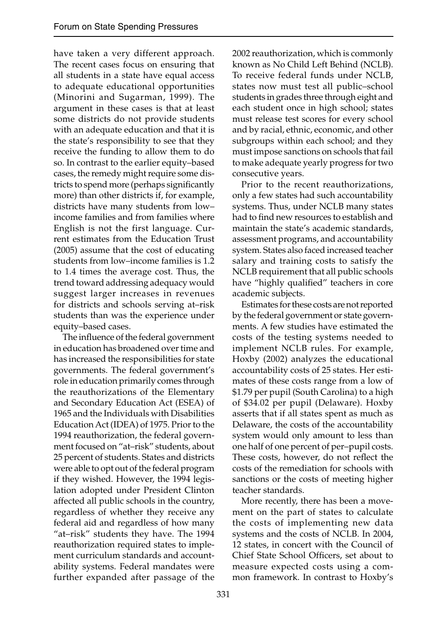have taken a very different approach. The recent cases focus on ensuring that all students in a state have equal access to adequate educational opportunities (Minorini and Sugarman, 1999). The argument in these cases is that at least some districts do not provide students with an adequate education and that it is the state's responsibility to see that they receive the funding to allow them to do so. In contrast to the earlier equity–based cases, the remedy might require some districts to spend more (perhaps significantly more) than other districts if, for example, districts have many students from low– income families and from families where English is not the first language. Current estimates from the Education Trust (2005) assume that the cost of educating students from low–income families is 1.2 to 1.4 times the average cost. Thus, the trend toward addressing adequacy would suggest larger increases in revenues for districts and schools serving at–risk students than was the experience under equity–based cases.

The influence of the federal government in education has broadened over time and has increased the responsibilities for state governments. The federal government's role in education primarily comes through the reauthorizations of the Elementary and Secondary Education Act (ESEA) of 1965 and the Individuals with Disabilities Education Act (IDEA) of 1975. Prior to the 1994 reauthorization, the federal government focused on "at–risk" students, about 25 percent of students. States and districts were able to opt out of the federal program if they wished. However, the 1994 legislation adopted under President Clinton affected all public schools in the country, regardless of whether they receive any federal aid and regardless of how many "at–risk" students they have. The 1994 reauthorization required states to implement curriculum standards and accountability systems. Federal mandates were further expanded after passage of the

2002 reauthorization, which is commonly known as No Child Left Behind (NCLB). To receive federal funds under NCLB, states now must test all public–school students in grades three through eight and each student once in high school; states must release test scores for every school and by racial, ethnic, economic, and other subgroups within each school; and they must impose sanctions on schools that fail to make adequate yearly progress for two consecutive years.

Prior to the recent reauthorizations, only a few states had such accountability systems. Thus, under NCLB many states had to find new resources to establish and maintain the state's academic standards, assessment programs, and accountability system. States also faced increased teacher salary and training costs to satisfy the NCLB requirement that all public schools have "highly qualified" teachers in core academic subjects.

Estimates for these costs are not reported by the federal government or state governments. A few studies have estimated the costs of the testing systems needed to implement NCLB rules. For example, Hoxby (2002) analyzes the educational accountability costs of 25 states. Her estimates of these costs range from a low of \$1.79 per pupil (South Carolina) to a high of \$34.02 per pupil (Delaware). Hoxby asserts that if all states spent as much as Delaware, the costs of the accountability system would only amount to less than one half of one percent of per–pupil costs. These costs, however, do not reflect the costs of the remediation for schools with sanctions or the costs of meeting higher teacher standards.

More recently, there has been a movement on the part of states to calculate the costs of implementing new data systems and the costs of NCLB. In 2004, 12 states, in concert with the Council of Chief State School Officers, set about to measure expected costs using a common framework. In contrast to Hoxby's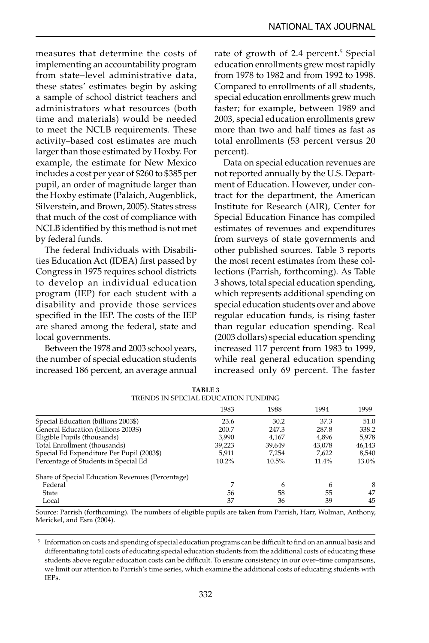measures that determine the costs of implementing an accountability program from state–level administrative data, these states' estimates begin by asking a sample of school district teachers and administrators what resources (both time and materials) would be needed to meet the NCLB requirements. These activity–based cost estimates are much larger than those estimated by Hoxby. For example, the estimate for New Mexico includes a cost per year of \$260 to \$385 per pupil, an order of magnitude larger than the Hoxby estimate (Palaich, Augenblick, Silverstein, and Brown, 2005). States stress that much of the cost of compliance with NCLB identified by this method is not met by federal funds.

The federal Individuals with Disabilities Education Act (IDEA) first passed by Congress in 1975 requires school districts to develop an individual education program (IEP) for each student with a disability and provide those services specified in the IEP. The costs of the IEP are shared among the federal, state and local governments.

Between the 1978 and 2003 school years, the number of special education students increased 186 percent, an average annual rate of growth of 2.4 percent.<sup>5</sup> Special education enrollments grew most rapidly from 1978 to 1982 and from 1992 to 1998. Compared to enrollments of all students, special education enrollments grew much faster; for example, between 1989 and 2003, special education enrollments grew more than two and half times as fast as total enrollments (53 percent versus 20 percent).

Data on special education revenues are not reported annually by the U.S. Department of Education. However, under contract for the department, the American Institute for Research (AIR), Center for Special Education Finance has compiled estimates of revenues and expenditures from surveys of state governments and other published sources. Table 3 reports the most recent estimates from these collections (Parrish, forthcoming). As Table 3 shows, total special education spending, which represents additional spending on special education students over and above regular education funds, is rising faster than regular education spending. Real (2003 dollars) special education spending increased 117 percent from 1983 to 1999, while real general education spending increased only 69 percent. The faster

| TRENDS IN SPECIAL EDUCATION FUNDING              |        |        |          |        |
|--------------------------------------------------|--------|--------|----------|--------|
|                                                  | 1983   | 1988   | 1994     | 1999   |
| Special Education (billions 2003\$)              | 23.6   | 30.2   | 37.3     | 51.0   |
| General Education (billions 2003\$)              | 200.7  | 247.3  | 287.8    | 338.2  |
| Eligible Pupils (thousands)                      | 3.990  | 4.167  | 4,896    | 5.978  |
| Total Enrollment (thousands)                     | 39,223 | 39,649 | 43,078   | 46,143 |
| Special Ed Expenditure Per Pupil (2003\$)        | 5.911  | 7,254  | 7.622    | 8,540  |
| Percentage of Students in Special Ed             | 10.2%  | 10.5%  | $11.4\%$ | 13.0%  |
| Share of Special Education Revenues (Percentage) |        |        |          |        |
| Federal                                          |        | 6      | 6        | 8      |
| <b>State</b>                                     | 56     | 58     | 55       | 47     |
| Local                                            | 37     | 36     | 39       | 45     |

| TABLE 3                             |
|-------------------------------------|
| TRENDS IN SPECIAL EDUCATION FUNDING |

Source: Parrish (forthcoming). The numbers of eligible pupils are taken from Parrish, Harr, Wolman, Anthony, Merickel, and Esra (2004).

<sup>5</sup> Information on costs and spending of special education programs can be difficult to find on an annual basis and differentiating total costs of educating special education students from the additional costs of educating these students above regular education costs can be difficult. To ensure consistency in our over-time comparisons, we limit our attention to Parrish's time series, which examine the additional costs of educating students with IEPs.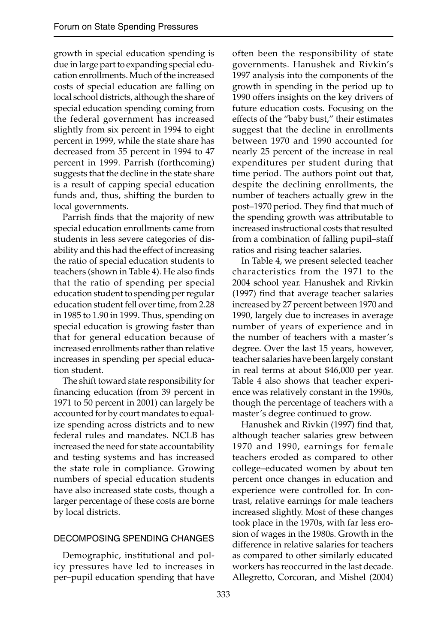growth in special education spending is due in large part to expanding special education enrollments. Much of the increased costs of special education are falling on local school districts, although the share of special education spending coming from the federal government has increased slightly from six percent in 1994 to eight percent in 1999, while the state share has decreased from 55 percent in 1994 to 47 percent in 1999. Parrish (forthcoming) suggests that the decline in the state share is a result of capping special education funds and, thus, shifting the burden to local governments.

Parrish finds that the majority of new special education enrollments came from students in less severe categories of disability and this had the effect of increasing the ratio of special education students to teachers (shown in Table 4). He also finds that the ratio of spending per special education student to spending per regular education student fell over time, from 2.28 in 1985 to 1.90 in 1999. Thus, spending on special education is growing faster than that for general education because of increased enrollments rather than relative increases in spending per special education student.

The shift toward state responsibility for financing education (from 39 percent in 1971 to 50 percent in 2001) can largely be accounted for by court mandates to equalize spending across districts and to new federal rules and mandates. NCLB has increased the need for state accountability and testing systems and has increased the state role in compliance. Growing numbers of special education students have also increased state costs, though a larger percentage of these costs are borne by local districts.

#### DECOMPOSING SPENDING CHANGES

Demographic, institutional and policy pressures have led to increases in per–pupil education spending that have often been the responsibility of state governments. Hanushek and Rivkin's 1997 analysis into the components of the growth in spending in the period up to 1990 offers insights on the key drivers of future education costs. Focusing on the effects of the "baby bust," their estimates suggest that the decline in enrollments between 1970 and 1990 accounted for nearly 25 percent of the increase in real expenditures per student during that time period. The authors point out that, despite the declining enrollments, the number of teachers actually grew in the post–1970 period. They find that much of the spending growth was attributable to increased instructional costs that resulted from a combination of falling pupil–staff ratios and rising teacher salaries.

In Table 4, we present selected teacher characteristics from the 1971 to the 2004 school year. Hanushek and Rivkin (1997) find that average teacher salaries increased by 27 percent between 1970 and 1990, largely due to increases in average number of years of experience and in the number of teachers with a master's degree. Over the last 15 years, however, teacher salaries have been largely constant in real terms at about \$46,000 per year. Table 4 also shows that teacher experience was relatively constant in the 1990s, though the percentage of teachers with a master's degree continued to grow.

Hanushek and Rivkin (1997) find that, although teacher salaries grew between 1970 and 1990, earnings for female teachers eroded as compared to other college–educated women by about ten percent once changes in education and experience were controlled for. In contrast, relative earnings for male teachers increased slightly. Most of these changes took place in the 1970s, with far less erosion of wages in the 1980s. Growth in the difference in relative salaries for teachers as compared to other similarly educated workers has reoccurred in the last decade. Allegretto, Corcoran, and Mishel (2004)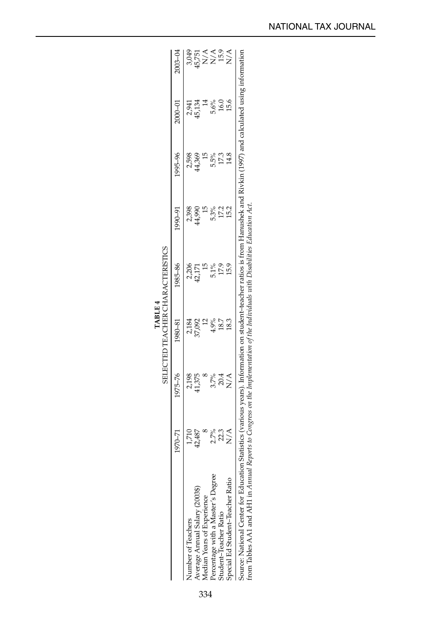|                                                                                                                                                                          |                 |                     |                 | <b>SELECTED TEACHER CHARACTERISTICS</b>                                                                                                    |                 |                 |                      |                              |
|--------------------------------------------------------------------------------------------------------------------------------------------------------------------------|-----------------|---------------------|-----------------|--------------------------------------------------------------------------------------------------------------------------------------------|-----------------|-----------------|----------------------|------------------------------|
|                                                                                                                                                                          | 1970-71         | 1975-76             | 1980-81         | 1985-86                                                                                                                                    | 1990-91         | 1995-96         | 1000-01              | $2003 - 04$                  |
| Number of Teachers                                                                                                                                                       |                 |                     |                 |                                                                                                                                            |                 |                 |                      |                              |
| Average Annual Salary (2003\$)                                                                                                                                           | 1,710<br>42,487 | 2,198<br>41,375     | 2,184<br>37,092 | 2,206<br>42,171                                                                                                                            | 2,398<br>14,990 | 2,598<br>14,369 | 2,941<br>45,134      |                              |
| Median Years of Experience                                                                                                                                               |                 |                     |                 |                                                                                                                                            |                 |                 |                      |                              |
| Degree<br>Percentage with a Master's 1                                                                                                                                   | 2.7%            |                     | 4.9%            | 5.1%                                                                                                                                       | $5.3\%$         | 5.5%            | $\frac{5.6\%}{16.0}$ | es<br>ERNA<br>SigNA<br>SigNA |
| Student-Teacher Ratio                                                                                                                                                    | 22.3            | 3.7%<br>20.4<br>N/A | 18.7            | 17.9                                                                                                                                       |                 | 17.3            |                      |                              |
| Ratio<br>Special Ed Student-Teacher                                                                                                                                      | $\frac{1}{2}$   |                     | 18.3            | 15.9                                                                                                                                       | 17.2<br>15.2    | 14.8            | 15.6                 | $\sum_{i=1}^{n}$             |
| from Tables AA1 and AH1 in <i>Annual Reports to Congress on the Implementation of the Individuals with Disabilities Education Act</i> .<br>Source: National Center for I |                 |                     |                 | Education Statistics (various vears). Information on student-teacher ratios is from Hanushek and Rivkin (1997) and calculated using inform |                 |                 |                      |                              |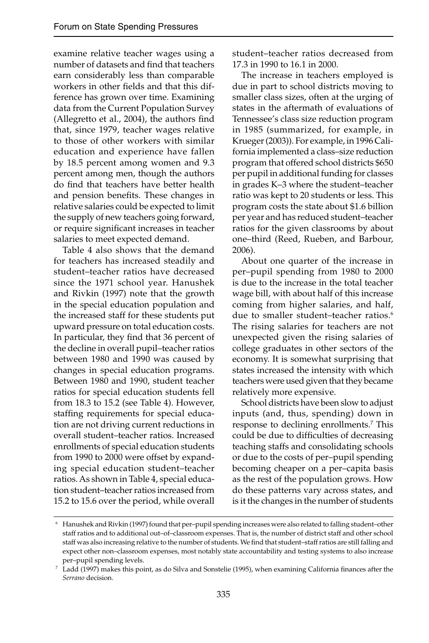examine relative teacher wages using a number of datasets and find that teachers earn considerably less than comparable workers in other fields and that this difference has grown over time. Examining data from the Current Population Survey (Allegretto et al., 2004), the authors find that, since 1979, teacher wages relative to those of other workers with similar education and experience have fallen by 18.5 percent among women and 9.3 percent among men, though the authors do find that teachers have better health and pension benefits. These changes in relative salaries could be expected to limit the supply of new teachers going forward, or require significant increases in teacher salaries to meet expected demand.

Table 4 also shows that the demand for teachers has increased steadily and student–teacher ratios have decreased since the 1971 school year. Hanushek and Rivkin (1997) note that the growth in the special education population and the increased staff for these students put upward pressure on total education costs. In particular, they find that 36 percent of the decline in overall pupil–teacher ratios between 1980 and 1990 was caused by changes in special education programs. Between 1980 and 1990, student teacher ratios for special education students fell from 18.3 to 15.2 (see Table 4). However, staffing requirements for special education are not driving current reductions in overall student–teacher ratios. Increased enrollments of special education students from 1990 to 2000 were offset by expanding special education student–teacher ratios. As shown in Table 4, special education student–teacher ratios increased from 15.2 to 15.6 over the period, while overall

student–teacher ratios decreased from 17.3 in 1990 to 16.1 in 2000.

The increase in teachers employed is due in part to school districts moving to smaller class sizes, often at the urging of states in the aftermath of evaluations of Tennessee's class size reduction program in 1985 (summarized, for example, in Krueger (2003)). For example, in 1996 California implemented a class–size reduction program that offered school districts \$650 per pupil in additional funding for classes in grades K–3 where the student–teacher ratio was kept to 20 students or less. This program costs the state about \$1.6 billion per year and has reduced student–teacher ratios for the given classrooms by about one–third (Reed, Rueben, and Barbour, 2006).

About one quarter of the increase in per–pupil spending from 1980 to 2000 is due to the increase in the total teacher wage bill, with about half of this increase coming from higher salaries, and half, due to smaller student–teacher ratios.<sup>6</sup> The rising salaries for teachers are not unexpected given the rising salaries of college graduates in other sectors of the economy. It is somewhat surprising that states increased the intensity with which teachers were used given that they became relatively more expensive.

School districts have been slow to adjust inputs (and, thus, spending) down in response to declining enrollments.7 This could be due to difficulties of decreasing teaching staffs and consolidating schools or due to the costs of per–pupil spending becoming cheaper on a per–capita basis as the rest of the population grows. How do these patterns vary across states, and is it the changes in the number of students

 <sup>6</sup> Hanushek and Rivkin (1997) found that per–pupil spending increases were also related to falling student–other staff ratios and to additional out–of–classroom expenses. That is, the number of district staff and other school staff was also increasing relative to the number of students. We find that student-staff ratios are still falling and expect other non–classroom expenses, most notably state accountability and testing systems to also increase

per–pupil spending levels. The spending levels.  $7$  Ladd (1997), when examining California finances after the  $7$  Ladd (1997) makes this point, as do Silva and Sonstelie (1995), when examining California finances after th *Serrano* decision.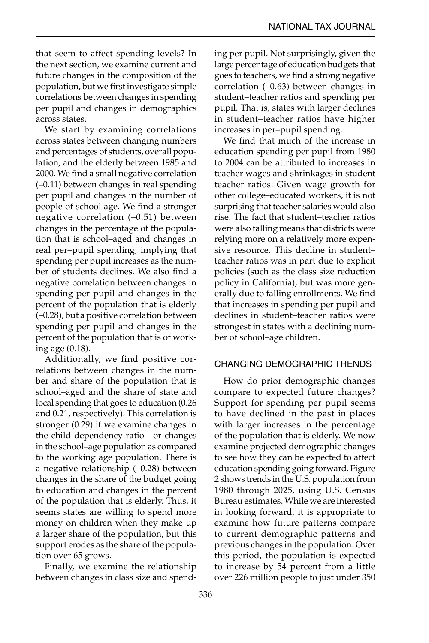that seem to affect spending levels? In the next section, we examine current and future changes in the composition of the population, but we first investigate simple correlations between changes in spending per pupil and changes in demographics across states.

We start by examining correlations across states between changing numbers and percentages of students, overall population, and the elderly between 1985 and 2000. We find a small negative correlation (–0.11) between changes in real spending per pupil and changes in the number of people of school age. We find a stronger negative correlation (–0.51) between changes in the percentage of the population that is school–aged and changes in real per–pupil spending, implying that spending per pupil increases as the number of students declines. We also find a negative correlation between changes in spending per pupil and changes in the percent of the population that is elderly (–0.28), but a positive correlation between spending per pupil and changes in the percent of the population that is of working age (0.18).

Additionally, we find positive correlations between changes in the number and share of the population that is school–aged and the share of state and local spending that goes to education (0.26 and 0.21, respectively). This correlation is stronger (0.29) if we examine changes in the child dependency ratio—or changes in the school–age population as compared to the working age population. There is a negative relationship (–0.28) between changes in the share of the budget going to education and changes in the percent of the population that is elderly. Thus, it seems states are willing to spend more money on children when they make up a larger share of the population, but this support erodes as the share of the population over 65 grows.

Finally, we examine the relationship between changes in class size and spending per pupil. Not surprisingly, given the large percentage of education budgets that goes to teachers, we find a strong negative correlation (–0.63) between changes in student–teacher ratios and spending per pupil. That is, states with larger declines in student–teacher ratios have higher increases in per–pupil spending.

We find that much of the increase in education spending per pupil from 1980 to 2004 can be attributed to increases in teacher wages and shrinkages in student teacher ratios. Given wage growth for other college–educated workers, it is not surprising that teacher salaries would also rise. The fact that student–teacher ratios were also falling means that districts were relying more on a relatively more expensive resource. This decline in student– teacher ratios was in part due to explicit policies (such as the class size reduction policy in California), but was more generally due to falling enrollments. We find that increases in spending per pupil and declines in student–teacher ratios were strongest in states with a declining number of school–age children.

#### CHANGING DEMOGRAPHIC TRENDS

How do prior demographic changes compare to expected future changes? Support for spending per pupil seems to have declined in the past in places with larger increases in the percentage of the population that is elderly. We now examine projected demographic changes to see how they can be expected to affect education spending going forward. Figure 2 shows trends in the U.S. population from 1980 through 2025, using U.S. Census Bureau estimates. While we are interested in looking forward, it is appropriate to examine how future patterns compare to current demographic patterns and previous changes in the population. Over this period, the population is expected to increase by 54 percent from a little over 226 million people to just under 350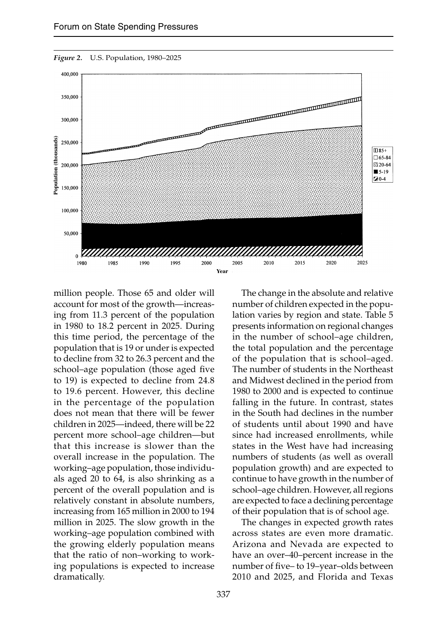

*Figure 2.* U.S. Population, 1980–2025

million people. Those 65 and older will account for most of the growth—increasing from 11.3 percent of the population in 1980 to 18.2 percent in 2025. During this time period, the percentage of the population that is 19 or under is expected to decline from 32 to 26.3 percent and the school–age population (those aged five to 19) is expected to decline from 24.8 to 19.6 percent. However, this decline in the percentage of the population does not mean that there will be fewer children in 2025—indeed, there will be 22 percent more school–age children—but that this increase is slower than the overall increase in the population. The working–age population, those individuals aged 20 to 64, is also shrinking as a percent of the overall population and is relatively constant in absolute numbers, increasing from 165 million in 2000 to 194 million in 2025. The slow growth in the working–age population combined with the growing elderly population means that the ratio of non–working to working populations is expected to increase dramatically.

The change in the absolute and relative number of children expected in the population varies by region and state. Table 5 presents information on regional changes in the number of school–age children, the total population and the percentage of the population that is school–aged. The number of students in the Northeast and Midwest declined in the period from 1980 to 2000 and is expected to continue falling in the future. In contrast, states in the South had declines in the number of students until about 1990 and have since had increased enrollments, while states in the West have had increasing numbers of students (as well as overall population growth) and are expected to continue to have growth in the number of school–age children. However, all regions are expected to face a declining percentage of their population that is of school age.

The changes in expected growth rates across states are even more dramatic. Arizona and Nevada are expected to have an over–40–percent increase in the number of five– to 19–year–olds between 2010 and 2025, and Florida and Texas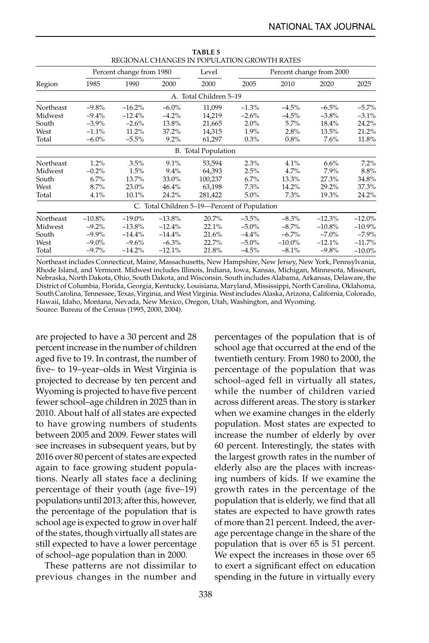|           |                                      | Percent change from 1980 |          | Level                                        |          | Percent change from 2000 |           |           |
|-----------|--------------------------------------|--------------------------|----------|----------------------------------------------|----------|--------------------------|-----------|-----------|
| Region    | 1985<br>2000<br>2000<br>2005<br>1990 |                          |          |                                              |          |                          | 2020      | 2025      |
|           |                                      |                          |          | A. Total Children 5-19                       |          |                          |           |           |
| Northeast | $-9.8%$                              | $-16.2%$                 | $-6.0\%$ | 11,099                                       | $-1.3%$  | $-4.5%$                  | $-6.5%$   | $-5.7%$   |
| Midwest   | $-9.4%$                              | $-12.4%$                 | $-4.2%$  | 14,219                                       | $-2.6%$  | $-4.5%$                  | $-3.8\%$  | $-3.1%$   |
| South     | $-3.9\%$                             | $-2.6%$                  | 13.8%    | 21,665                                       | $2.0\%$  | 5.7%                     | 18.4%     | 24.2%     |
| West      | $-1.1%$                              | $11.2\%$                 | 37.2%    | 14,315                                       | $1.9\%$  | 2.8%                     | 13.5%     | 21.2%     |
| Total     | $-6.0\%$                             | $-5.5%$                  | $9.2\%$  | 61,297                                       | 0.3%     | 0.8%                     | $7.6\%$   | 11.8%     |
|           |                                      |                          |          | <b>B.</b> Total Population                   |          |                          |           |           |
| Northeast | 1.2%                                 | 3.5%                     | 9.1%     | 53.594                                       | 2.3%     | 4.1%                     | 6.6%      | 7.2%      |
| Midwest   | $-0.2%$                              | 1.5%                     | 9.4%     | 64,393                                       | 2.5%     | 4.7%                     | 7.9%      | 8.8%      |
| South     | 6.7%                                 | 13.7%                    | 33.0%    | 100,237                                      | 6.7%     | 13.3%                    | 27.3%     | 34.8%     |
| West      | 8.7%                                 | 23.0%                    | 46.4%    | 63,198                                       | 7.3%     | 14.2%                    | 29.2%     | 37.3%     |
| Total     | 4.1%                                 | 10.1%                    | 24.2%    | 281,422                                      | $5.0\%$  | 7.3%                     | 19.3%     | 24.2%     |
|           |                                      |                          |          | C. Total Children 5-19-Percent of Population |          |                          |           |           |
| Northeast | $-10.8%$                             | $-19.0%$                 | $-13.8%$ | 20.7%                                        | $-3.5%$  | $-8.3%$                  | $-12.3%$  | $-12.0%$  |
| Midwest   | $-9.2\%$                             | $-13.8%$                 | $-12.4%$ | 22.1%                                        | $-5.0\%$ | $-8.7\%$                 | $-10.8\%$ | $-10.9%$  |
| South     | $-9.9\%$                             | $-14.4%$                 | $-14.4%$ | 21.6%                                        | $-4.4%$  | $-6.7\%$                 | $-7.0\%$  | $-7.9\%$  |
| West      | $-9.0\%$                             | $-9.6%$                  | $-6.3\%$ | 22.7%                                        | $-5.0\%$ | $-10.0\%$                | $-12.1%$  | $-11.7%$  |
| Total     | $-9.7\%$                             | $-14.2%$                 | $-12.1%$ | 21.8%                                        | $-4.5%$  | $-8.1%$                  | $-9.8%$   | $-10.0\%$ |

**TABLE 5** REGIONAL CHANGES IN POPULATION GROWTH RATES

Northeast includes Connecticut, Maine, Massachusetts, New Hampshire, New Jersey, New York, Pennsylvania, Rhode Island, and Vermont. Midwest includes Illinois, Indiana, Iowa, Kansas, Michigan, Minnesota, Missouri, Nebraska, North Dakota, Ohio, South Dakota, and Wisconsin. South includes Alabama, Arkansas, Delaware, the District of Columbia, Florida, Georgia, Kentucky, Louisiana, Maryland, Mississippi, North Carolina, Oklahoma, South Carolina, Tennessee, Texas, Virginia, and West Virginia. West includes Alaska, Arizona, California, Colorado, Hawaii, Idaho, Montana, Nevada, New Mexico, Oregon, Utah, Washington, and Wyoming. Source: Bureau of the Census (1995, 2000, 2004).

are projected to have a 30 percent and 28 percent increase in the number of children aged five to 19. In contrast, the number of five– to 19–year–olds in West Virginia is projected to decrease by ten percent and Wyoming is projected to have five percent fewer school–age children in 2025 than in 2010. About half of all states are expected to have growing numbers of students between 2005 and 2009. Fewer states will see increases in subsequent years, but by 2016 over 80 percent of states are expected again to face growing student populations. Nearly all states face a declining percentage of their youth (age five–19) populations until 2013; after this, however, the percentage of the population that is school age is expected to grow in over half of the states, though virtually all states are still expected to have a lower percentage of school–age population than in 2000.

These patterns are not dissimilar to previous changes in the number and

percentages of the population that is of school age that occurred at the end of the twentieth century. From 1980 to 2000, the percentage of the population that was school–aged fell in virtually all states, while the number of children varied across different areas. The story is starker when we examine changes in the elderly population. Most states are expected to increase the number of elderly by over 60 percent. Interestingly, the states with the largest growth rates in the number of elderly also are the places with increasing numbers of kids. If we examine the growth rates in the percentage of the population that is elderly, we find that all states are expected to have growth rates of more than 21 percent. Indeed, the average percentage change in the share of the population that is over 65 is 51 percent. We expect the increases in those over 65 to exert a significant effect on education spending in the future in virtually every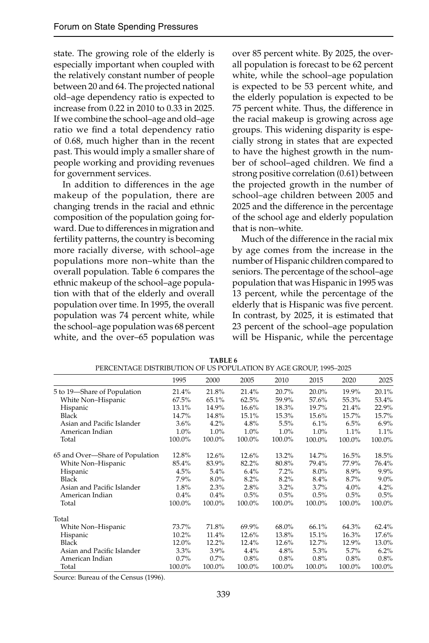state. The growing role of the elderly is especially important when coupled with the relatively constant number of people between 20 and 64. The projected national old–age dependency ratio is expected to increase from 0.22 in 2010 to 0.33 in 2025. If we combine the school–age and old–age ratio we find a total dependency ratio of 0.68, much higher than in the recent past. This would imply a smaller share of people working and providing revenues for government services.

In addition to differences in the age makeup of the population, there are changing trends in the racial and ethnic composition of the population going forward. Due to differences in migration and fertility patterns, the country is becoming more racially diverse, with school–age populations more non–white than the overall population. Table 6 compares the ethnic makeup of the school–age population with that of the elderly and overall population over time. In 1995, the overall population was 74 percent white, while the school–age population was 68 percent white, and the over–65 population was

over 85 percent white. By 2025, the overall population is forecast to be 62 percent white, while the school–age population is expected to be 53 percent white, and the elderly population is expected to be 75 percent white. Thus, the difference in the racial makeup is growing across age groups. This widening disparity is especially strong in states that are expected to have the highest growth in the number of school–aged children. We find a strong positive correlation (0.61) between the projected growth in the number of school–age children between 2005 and 2025 and the difference in the percentage of the school age and elderly population that is non–white.

Much of the difference in the racial mix by age comes from the increase in the number of Hispanic children compared to seniors. The percentage of the school–age population that was Hispanic in 1995 was 13 percent, while the percentage of the elderly that is Hispanic was five percent. In contrast, by 2025, it is estimated that 23 percent of the school–age population will be Hispanic, while the percentage

|                                 | 1995     | 2000    | 2005   | 2010   | 2015    | 2020   | 2025    |
|---------------------------------|----------|---------|--------|--------|---------|--------|---------|
| 5 to 19-Share of Population     | 21.4%    | 21.8%   | 21.4%  | 20.7%  | 20.0%   | 19.9%  | 20.1%   |
| White Non-Hispanic              | $67.5\%$ | 65.1%   | 62.5%  | 59.9%  | 57.6%   | 55.3%  | 53.4%   |
| Hispanic                        | 13.1%    | 14.9%   | 16.6%  | 18.3%  | 19.7%   | 21.4%  | 22.9%   |
| Black                           | 14.7%    | 14.8%   | 15.1%  | 15.3%  | 15.6%   | 15.7%  | 15.7%   |
| Asian and Pacific Islander      | $3.6\%$  | 4.2%    | 4.8%   | 5.5%   | 6.1%    | 6.5%   | 6.9%    |
| American Indian                 | $1.0\%$  | 1.0%    | 1.0%   | 1.0%   | 1.0%    | 1.1%   | 1.1%    |
| Total                           | 100.0%   | 100.0%  | 100.0% | 100.0% | 100.0%  | 100.0% | 100.0%  |
| 65 and Over-Share of Population | 12.8%    | 12.6%   | 12.6%  | 13.2%  | 14.7%   | 16.5%  | 18.5%   |
| White Non-Hispanic              | 85.4%    | 83.9%   | 82.2%  | 80.8%  | 79.4%   | 77.9%  | 76.4%   |
| Hispanic                        | 4.5%     | 5.4%    | 6.4%   | 7.2%   | $8.0\%$ | 8.9%   | $9.9\%$ |
| Black                           | 7.9%     | $8.0\%$ | 8.2%   | 8.2%   | 8.4%    | 8.7%   | $9.0\%$ |
| Asian and Pacific Islander      | 1.8%     | 2.3%    | 2.8%   | 3.2%   | 3.7%    | 4.0%   | 4.2%    |
| American Indian                 | 0.4%     | 0.4%    | 0.5%   | 0.5%   | 0.5%    | 0.5%   | 0.5%    |
| Total                           | 100.0%   | 100.0%  | 100.0% | 100.0% | 100.0%  | 100.0% | 100.0%  |
| Total                           |          |         |        |        |         |        |         |
| White Non-Hispanic              | 73.7%    | 71.8%   | 69.9%  | 68.0%  | 66.1%   | 64.3%  | 62.4%   |
| Hispanic                        | 10.2%    | 11.4%   | 12.6%  | 13.8%  | 15.1%   | 16.3%  | 17.6%   |
| Black                           | 12.0%    | 12.2%   | 12.4%  | 12.6%  | 12.7%   | 12.9%  | 13.0%   |
| Asian and Pacific Islander      | 3.3%     | 3.9%    | 4.4%   | 4.8%   | 5.3%    | 5.7%   | $6.2\%$ |
| American Indian                 | 0.7%     | 0.7%    | 0.8%   | 0.8%   | 0.8%    | 0.8%   | 0.8%    |
| Total                           | 100.0%   | 100.0%  | 100.0% | 100.0% | 100.0%  | 100.0% | 100.0%  |

**TABLE 6** PERCENTAGE DISTRIBUTION OF US POPULATION BY AGE GROUP, 1995–2025

Source: Bureau of the Census (1996).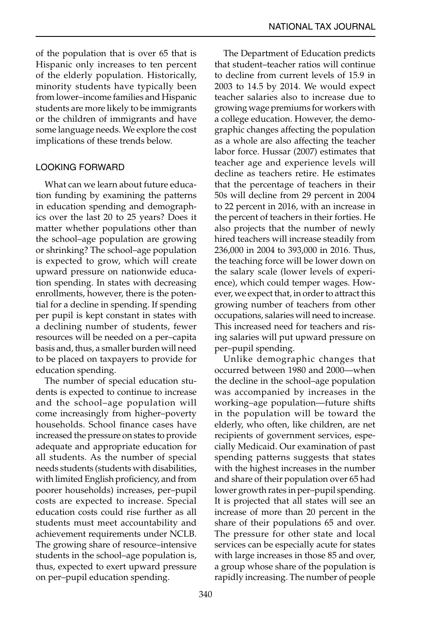of the population that is over 65 that is Hispanic only increases to ten percent of the elderly population. Historically, minority students have typically been from lower–income families and Hispanic students are more likely to be immigrants or the children of immigrants and have some language needs. We explore the cost implications of these trends below.

#### LOOKING FORWARD

What can we learn about future education funding by examining the patterns in education spending and demographics over the last 20 to 25 years? Does it matter whether populations other than the school–age population are growing or shrinking? The school–age population is expected to grow, which will create upward pressure on nationwide education spending. In states with decreasing enrollments, however, there is the potential for a decline in spending. If spending per pupil is kept constant in states with a declining number of students, fewer resources will be needed on a per–capita basis and, thus, a smaller burden will need to be placed on taxpayers to provide for education spending.

The number of special education students is expected to continue to increase and the school–age population will come increasingly from higher–poverty households. School finance cases have increased the pressure on states to provide adequate and appropriate education for all students. As the number of special needs students (students with disabilities, with limited English proficiency, and from poorer households) increases, per–pupil costs are expected to increase. Special education costs could rise further as all students must meet accountability and achievement requirements under NCLB. The growing share of resource–intensive students in the school–age population is, thus, expected to exert upward pressure on per–pupil education spending.

The Department of Education predicts that student–teacher ratios will continue to decline from current levels of 15.9 in 2003 to 14.5 by 2014. We would expect teacher salaries also to increase due to growing wage premiums for workers with a college education. However, the demographic changes affecting the population as a whole are also affecting the teacher labor force. Hussar (2007) estimates that teacher age and experience levels will decline as teachers retire. He estimates that the percentage of teachers in their 50s will decline from 29 percent in 2004 to 22 percent in 2016, with an increase in the percent of teachers in their forties. He also projects that the number of newly hired teachers will increase steadily from 236,000 in 2004 to 393,000 in 2016. Thus, the teaching force will be lower down on the salary scale (lower levels of experience), which could temper wages. However, we expect that, in order to attract this growing number of teachers from other occupations, salaries will need to increase. This increased need for teachers and rising salaries will put upward pressure on per–pupil spending.

Unlike demographic changes that occurred between 1980 and 2000—when the decline in the school–age population was accompanied by increases in the working–age population—future shifts in the population will be toward the elderly, who often, like children, are net recipients of government services, especially Medicaid. Our examination of past spending patterns suggests that states with the highest increases in the number and share of their population over 65 had lower growth rates in per–pupil spending. It is projected that all states will see an increase of more than 20 percent in the share of their populations 65 and over. The pressure for other state and local services can be especially acute for states with large increases in those 85 and over, a group whose share of the population is rapidly increasing. The number of people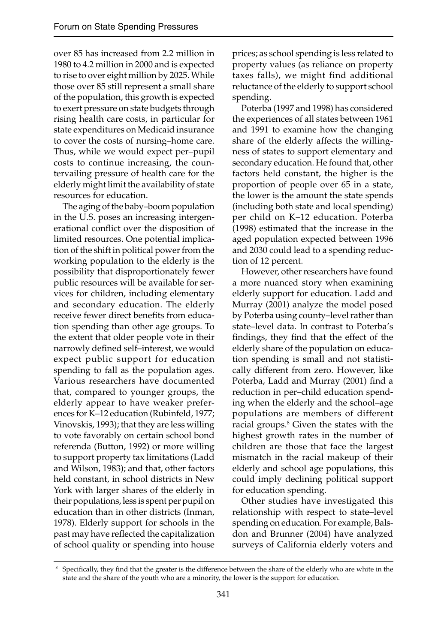over 85 has increased from 2.2 million in 1980 to 4.2 million in 2000 and is expected to rise to over eight million by 2025. While those over 85 still represent a small share of the population, this growth is expected to exert pressure on state budgets through rising health care costs, in particular for state expenditures on Medicaid insurance to cover the costs of nursing–home care. Thus, while we would expect per–pupil costs to continue increasing, the countervailing pressure of health care for the elderly might limit the availability of state resources for education.

The aging of the baby–boom population in the U.S. poses an increasing intergenerational conflict over the disposition of limited resources. One potential implication of the shift in political power from the working population to the elderly is the possibility that disproportionately fewer public resources will be available for services for children, including elementary and secondary education. The elderly receive fewer direct benefits from education spending than other age groups. To the extent that older people vote in their narrowly defined self-interest, we would expect public support for education spending to fall as the population ages. Various researchers have documented that, compared to younger groups, the elderly appear to have weaker preferences for K–12 education (Rubinfeld, 1977; Vinovskis, 1993); that they are less willing to vote favorably on certain school bond referenda (Button, 1992) or more willing to support property tax limitations (Ladd and Wilson, 1983); and that, other factors held constant, in school districts in New York with larger shares of the elderly in their populations, less is spent per pupil on education than in other districts (Inman, 1978). Elderly support for schools in the past may have reflected the capitalization of school quality or spending into house

prices; as school spending is less related to property values (as reliance on property taxes falls), we might find additional reluctance of the elderly to support school spending.

Poterba (1997 and 1998) has considered the experiences of all states between 1961 and 1991 to examine how the changing share of the elderly affects the willingness of states to support elementary and secondary education. He found that, other factors held constant, the higher is the proportion of people over 65 in a state, the lower is the amount the state spends (including both state and local spending) per child on K–12 education. Poterba (1998) estimated that the increase in the aged population expected between 1996 and 2030 could lead to a spending reduction of 12 percent.

However, other researchers have found a more nuanced story when examining elderly support for education. Ladd and Murray (2001) analyze the model posed by Poterba using county–level rather than state–level data. In contrast to Poterba's findings, they find that the effect of the elderly share of the population on education spending is small and not statistically different from zero. However, like Poterba, Ladd and Murray (2001) find a reduction in per–child education spending when the elderly and the school–age populations are members of different racial groups.8 Given the states with the highest growth rates in the number of children are those that face the largest mismatch in the racial makeup of their elderly and school age populations, this could imply declining political support for education spending.

Other studies have investigated this relationship with respect to state–level spending on education. For example, Balsdon and Brunner (2004) have analyzed surveys of California elderly voters and

<sup>&</sup>lt;sup>8</sup> Specifically, they find that the greater is the difference between the share of the elderly who are white in the state and the share of the youth who are a minority, the lower is the support for education.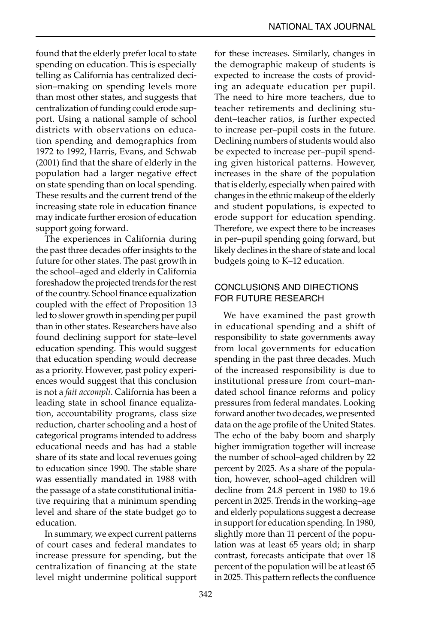found that the elderly prefer local to state spending on education. This is especially telling as California has centralized decision–making on spending levels more than most other states, and suggests that centralization of funding could erode support. Using a national sample of school districts with observations on education spending and demographics from 1972 to 1992, Harris, Evans, and Schwab (2001) find that the share of elderly in the population had a larger negative effect on state spending than on local spending. These results and the current trend of the increasing state role in education finance may indicate further erosion of education support going forward.

The experiences in California during the past three decades offer insights to the future for other states. The past growth in the school–aged and elderly in California foreshadow the projected trends for the rest of the country. School finance equalization coupled with the effect of Proposition 13 led to slower growth in spending per pupil than in other states. Researchers have also found declining support for state–level education spending. This would suggest that education spending would decrease as a priority. However, past policy experiences would suggest that this conclusion is not a *fait accompli*. California has been a leading state in school finance equalization, accountability programs, class size reduction, charter schooling and a host of categorical programs intended to address educational needs and has had a stable share of its state and local revenues going to education since 1990. The stable share was essentially mandated in 1988 with the passage of a state constitutional initiative requiring that a minimum spending level and share of the state budget go to education.

In summary, we expect current patterns of court cases and federal mandates to increase pressure for spending, but the centralization of financing at the state level might undermine political support for these increases. Similarly, changes in the demographic makeup of students is expected to increase the costs of providing an adequate education per pupil. The need to hire more teachers, due to teacher retirements and declining student–teacher ratios, is further expected to increase per–pupil costs in the future. Declining numbers of students would also be expected to increase per–pupil spending given historical patterns. However, increases in the share of the population that is elderly, especially when paired with changes in the ethnic makeup of the elderly and student populations, is expected to erode support for education spending. Therefore, we expect there to be increases in per–pupil spending going forward, but likely declines in the share of state and local budgets going to K–12 education.

#### CONCLUSIONS AND DIRECTIONS FOR FUTURE RESEARCH

We have examined the past growth in educational spending and a shift of responsibility to state governments away from local governments for education spending in the past three decades. Much of the increased responsibility is due to institutional pressure from court–mandated school finance reforms and policy pressures from federal mandates. Looking forward another two decades, we presented data on the age profile of the United States. The echo of the baby boom and sharply higher immigration together will increase the number of school–aged children by 22 percent by 2025. As a share of the population, however, school–aged children will decline from 24.8 percent in 1980 to 19.6 percent in 2025. Trends in the working–age and elderly populations suggest a decrease in support for education spending. In 1980, slightly more than 11 percent of the population was at least 65 years old; in sharp contrast, forecasts anticipate that over 18 percent of the population will be at least 65 in 2025. This pattern reflects the confluence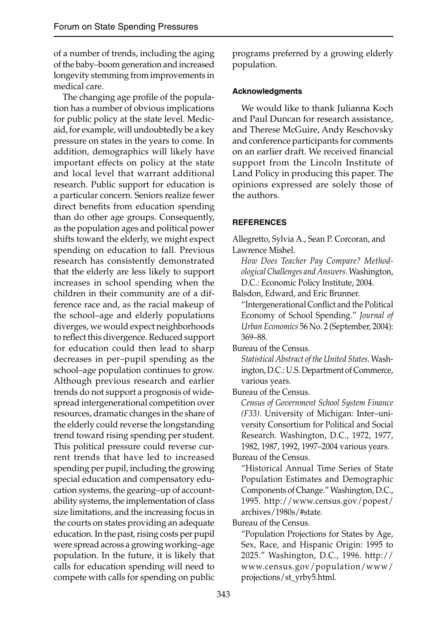of a number of trends, including the aging of the baby–boom generation and increased longevity stemming from improvements in medical care.

The changing age profile of the population has a number of obvious implications for public policy at the state level. Medicaid, for example, will undoubtedly be a key pressure on states in the years to come. In addition, demographics will likely have important effects on policy at the state and local level that warrant additional research. Public support for education is a particular concern. Seniors realize fewer direct benefits from education spending than do other age groups. Consequently, as the population ages and political power shifts toward the elderly, we might expect spending on education to fall. Previous research has consistently demonstrated that the elderly are less likely to support increases in school spending when the children in their community are of a difference race and, as the racial makeup of the school–age and elderly populations diverges, we would expect neighborhoods to reflect this divergence. Reduced support for education could then lead to sharp decreases in per–pupil spending as the school–age population continues to grow. Although previous research and earlier trends do not support a prognosis of widespread intergenerational competition over resources, dramatic changes in the share of the elderly could reverse the longstanding trend toward rising spending per student. This political pressure could reverse current trends that have led to increased spending per pupil, including the growing special education and compensatory education systems, the gearing–up of accountability systems, the implementation of class size limitations, and the increasing focus in the courts on states providing an adequate education. In the past, rising costs per pupil were spread across a growing working–age population. In the future, it is likely that calls for education spending will need to compete with calls for spending on public

programs preferred by a growing elderly population.

#### **Acknowledgments**

We would like to thank Julianna Koch and Paul Duncan for research assistance, and Therese McGuire, Andy Reschovsky and conference participants for comments on an earlier draft. We received financial support from the Lincoln Institute of Land Policy in producing this paper. The opinions expressed are solely those of the authors.

#### **REFERENCES**

Allegretto, Sylvia A., Sean P. Corcoran, and Lawrence Mishel.

 *How Does Teacher Pay Compare? Methodological Challenges and Answers*. Washington, D.C.: Economic Policy Institute, 2004.

Balsdon, Edward, and Eric Brunner.

"Intergenerational Conflict and the Political Economy of School Spending." *Journal of Urban Economics* 56 No. 2 (September, 2004): 369–88.

Bureau of the Census.

*Statistical Abstract of the United States*. Washington, D.C.: U.S. Department of Commerce, various years.

Bureau of the Census.

*Census of Government School System Finance (F33)*. University of Michigan: Inter–university Consortium for Political and Social Research. Washington, D.C., 1972, 1977, 1982, 1987, 1992, 1997–2004 various years.

Bureau of the Census.

 "Historical Annual Time Series of State Population Estimates and Demographic Components of Change." Washington, D.C., 1995. http://www.census.gov/popest/ archives/1980s/#state.

Bureau of the Census.

 "Population Projections for States by Age, Sex, Race, and Hispanic Origin: 1995 to 2025." Washington, D.C., 1996. http:// www.census.gov/population/www/ projections/st\_yrby5.html.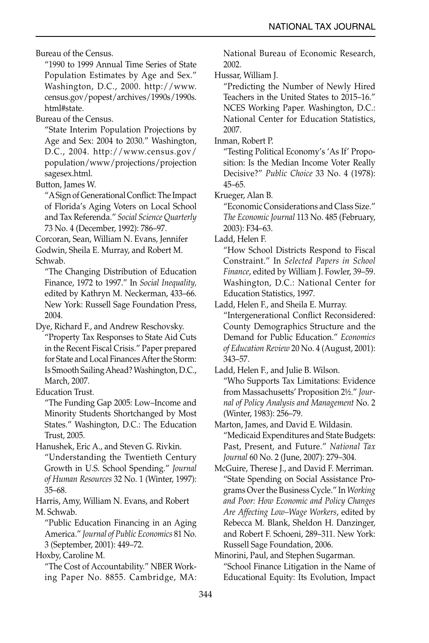Bureau of the Census.

 "1990 to 1999 Annual Time Series of State Population Estimates by Age and Sex." Washington, D.C., 2000. http://www. census.gov/popest/archives/1990s/1990s. html#state.

Bureau of the Census.

 "State Interim Population Projections by Age and Sex: 2004 to 2030." Washington, D.C., 2004. http://www.census.gov/ population/www/projections/projection sagesex.html.

Button, James W.

"A Sign of Generational Conflict: The Impact of Florida's Aging Voters on Local School and Tax Referenda." *Social Science Quarterly* 73 No. 4 (December, 1992): 786–97.

Corcoran, Sean, William N. Evans, Jennifer Godwin, Sheila E. Murray, and Robert M.

Schwab.

 "The Changing Distribution of Education Finance, 1972 to 1997." In *Social Inequality,* edited by Kathryn M. Neckerman, 433–66. New York: Russell Sage Foundation Press, 2004.

Dye, Richard F., and Andrew Reschovsky. "Property Tax Responses to State Aid Cuts in the Recent Fiscal Crisis." Paper prepared

for State and Local Finances After the Storm: Is Smooth Sailing Ahead? Washington, D.C., March, 2007.

Education Trust.

 "The Funding Gap 2005: Low–Income and Minority Students Shortchanged by Most States." Washington, D.C.: The Education Trust, 2005.

Hanushek, Eric A., and Steven G. Rivkin.

 "Understanding the Twentieth Century Growth in U.S. School Spending." *Journal of Human Resources* 32 No. 1 (Winter, 1997): 35–68.

Harris, Amy, William N. Evans, and Robert M. Schwab.

 "Public Education Financing in an Aging America." *Journal of Public Economics* 81 No. 3 (September, 2001): 449–72.

Hoxby, Caroline M.

 "The Cost of Accountability." NBER Working Paper No. 8855. Cambridge, MA: National Bureau of Economic Research, 2002.

Hussar, William J.

 "Predicting the Number of Newly Hired Teachers in the United States to 2015–16." NCES Working Paper. Washington, D.C.: National Center for Education Statistics, 2007.

Inman, Robert P.

 "Testing Political Economy's 'As If' Proposition: Is the Median Income Voter Really Decisive?" *Public Choice* 33 No. 4 (1978): 45–65.

Krueger, Alan B.

 "Economic Considerations and Class Size." *The Economic Journal* 113 No. 485 (February, 2003): F34–63.

Ladd, Helen F.

 "How School Districts Respond to Fiscal Constraint." In *Selected Papers in School Finance*, edited by William J. Fowler, 39–59. Washington, D.C.: National Center for Education Statistics, 1997.

Ladd, Helen F., and Sheila E. Murray. "Intergenerational Conflict Reconsidered: County Demographics Structure and the Demand for Public Education." *Economics of Education Review* 20 No. 4 (August, 2001): 343–57.

Ladd, Helen F., and Julie B. Wilson.

 "Who Supports Tax Limitations: Evidence from Massachusetts' Proposition 2½." *Journal of Policy Analysis and Management* No. 2 (Winter, 1983): 256–79.

Marton, James, and David E. Wildasin. "Medicaid Expenditures and State Budgets: Past, Present, and Future." *National Tax Journal* 60 No. 2 (June, 2007): 279–304.

McGuire, Therese J., and David F. Merriman. "State Spending on Social Assistance Programs Over the Business Cycle." In *Working and Poor: How Economic and Policy Changes Are Affecting Low–Wage Workers*, edited by Rebecca M. Blank, Sheldon H. Danzinger, and Robert F. Schoeni, 289–311. New York: Russell Sage Foundation, 2006.

Minorini, Paul, and Stephen Sugarman. "School Finance Litigation in the Name of Educational Equity: Its Evolution, Impact